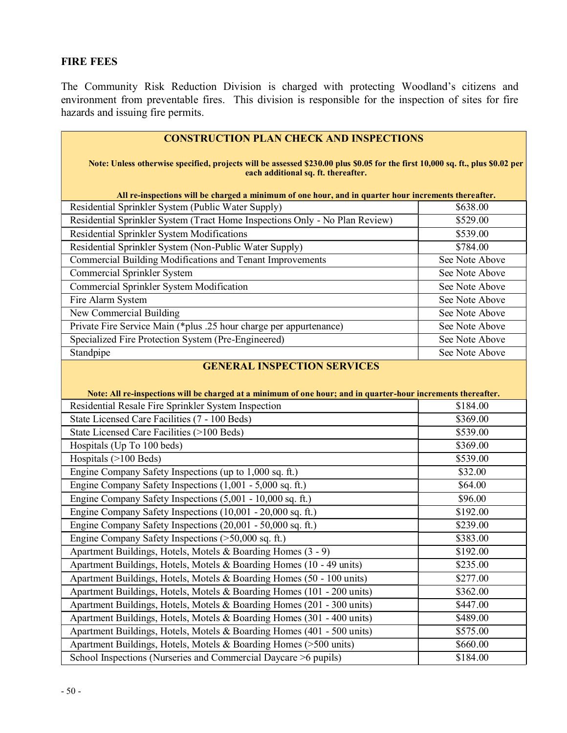# FIRE FEES

The Community Risk Reduction Division is charged with protecting Woodland's citizens and environment from preventable fires. This division is responsible for the inspection of sites for fire hazards and issuing fire permits.

| <b>CONSTRUCTION PLAN CHECK AND INSPECTIONS</b><br>Note: Unless otherwise specified, projects will be assessed \$230.00 plus \$0.05 for the first 10,000 sq. ft., plus \$0.02 per |                      |  |
|----------------------------------------------------------------------------------------------------------------------------------------------------------------------------------|----------------------|--|
| each additional sq. ft. thereafter.                                                                                                                                              |                      |  |
| All re-inspections will be charged a minimum of one hour, and in quarter hour increments thereafter.                                                                             |                      |  |
| Residential Sprinkler System (Public Water Supply)                                                                                                                               | \$638.00             |  |
| Residential Sprinkler System (Tract Home Inspections Only - No Plan Review)                                                                                                      | \$529.00             |  |
| Residential Sprinkler System Modifications                                                                                                                                       | \$539.00             |  |
| Residential Sprinkler System (Non-Public Water Supply)                                                                                                                           | \$784.00             |  |
| Commercial Building Modifications and Tenant Improvements                                                                                                                        | See Note Above       |  |
| Commercial Sprinkler System                                                                                                                                                      | See Note Above       |  |
| Commercial Sprinkler System Modification                                                                                                                                         | See Note Above       |  |
| Fire Alarm System                                                                                                                                                                | See Note Above       |  |
| New Commercial Building                                                                                                                                                          | See Note Above       |  |
| Private Fire Service Main (*plus .25 hour charge per appurtenance)                                                                                                               | See Note Above       |  |
| Specialized Fire Protection System (Pre-Engineered)                                                                                                                              | See Note Above       |  |
| Standpipe                                                                                                                                                                        | See Note Above       |  |
| Note: All re-inspections will be charged at a minimum of one hour; and in quarter-hour increments thereafter.<br>Residential Resale Fire Sprinkler System Inspection             | \$184.00             |  |
| State Licensed Care Facilities (7 - 100 Beds)                                                                                                                                    | \$369.00             |  |
| State Licensed Care Facilities (>100 Beds)                                                                                                                                       | \$539.00             |  |
| Hospitals (Up To 100 beds)                                                                                                                                                       | \$369.00             |  |
| Hospitals (>100 Beds)                                                                                                                                                            | \$539.00             |  |
| Engine Company Safety Inspections (up to 1,000 sq. ft.)                                                                                                                          | \$32.00              |  |
| Engine Company Safety Inspections (1,001 - 5,000 sq. ft.)                                                                                                                        | \$64.00              |  |
| Engine Company Safety Inspections (5,001 - 10,000 sq. ft.)                                                                                                                       | \$96.00              |  |
| Engine Company Safety Inspections (10,001 - 20,000 sq. ft.)                                                                                                                      | \$192.00             |  |
| Engine Company Safety Inspections (20,001 - 50,000 sq. ft.)                                                                                                                      | \$239.00             |  |
| Engine Company Safety Inspections (>50,000 sq. ft.)                                                                                                                              | $\overline{$}383.00$ |  |
| Apartment Buildings, Hotels, Motels & Boarding Homes (3 - 9)                                                                                                                     | \$192.00             |  |
| Apartment Buildings, Hotels, Motels & Boarding Homes (10 - 49 units)                                                                                                             | \$235.00             |  |
| Apartment Buildings, Hotels, Motels & Boarding Homes (50 - 100 units)                                                                                                            | \$277.00             |  |
| Apartment Buildings, Hotels, Motels & Boarding Homes (101 - 200 units)                                                                                                           | \$362.00             |  |
| Apartment Buildings, Hotels, Motels & Boarding Homes (201 - 300 units)                                                                                                           | \$447.00             |  |
| Apartment Buildings, Hotels, Motels & Boarding Homes (301 - 400 units)                                                                                                           | \$489.00             |  |
| Apartment Buildings, Hotels, Motels & Boarding Homes (401 - 500 units)                                                                                                           | \$575.00             |  |
| Apartment Buildings, Hotels, Motels & Boarding Homes (>500 units)                                                                                                                | \$660.00             |  |
| School Inspections (Nurseries and Commercial Daycare >6 pupils)                                                                                                                  | \$184.00             |  |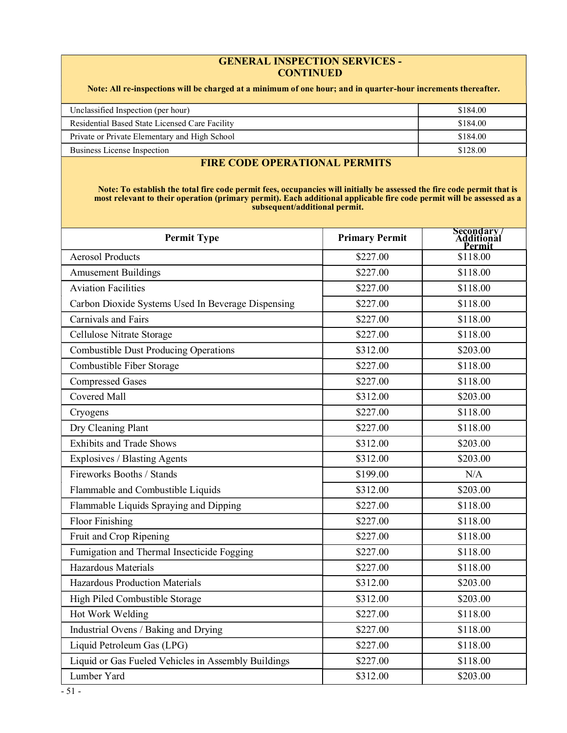#### GENERAL INSPECTION SERVICES - **CONTINUED**

#### Note: All re-inspections will be charged at a minimum of one hour; and in quarter-hour increments thereafter.

| Unclassified Inspection (per hour)             | \$184.00 |
|------------------------------------------------|----------|
| Residential Based State Licensed Care Facility | \$184.00 |
| Private or Private Elementary and High School  | \$184.00 |
| Business License Inspection                    | \$128.00 |

### FIRE CODE OPERATIONAL PERMITS

Note: To establish the total fire code permit fees, occupancies will initially be assessed the fire code permit that is most relevant to their operation (primary permit). Each additional applicable fire code permit will be assessed as a subsequent/additional permit.

| <b>Permit Type</b>                                  | <b>Primary Permit</b> | Secondary/<br>Additional<br>'ermi1 |
|-----------------------------------------------------|-----------------------|------------------------------------|
| <b>Aerosol Products</b>                             | \$227.00              | \$118.00                           |
| <b>Amusement Buildings</b>                          | \$227.00              | \$118.00                           |
| <b>Aviation Facilities</b>                          | \$227.00              | \$118.00                           |
| Carbon Dioxide Systems Used In Beverage Dispensing  | \$227.00              | \$118.00                           |
| Carnivals and Fairs                                 | \$227.00              | \$118.00                           |
| Cellulose Nitrate Storage                           | \$227.00              | \$118.00                           |
| <b>Combustible Dust Producing Operations</b>        | \$312.00              | \$203.00                           |
| Combustible Fiber Storage                           | \$227.00              | \$118.00                           |
| <b>Compressed Gases</b>                             | \$227.00              | \$118.00                           |
| <b>Covered Mall</b>                                 | \$312.00              | \$203.00                           |
| Cryogens                                            | \$227.00              | \$118.00                           |
| Dry Cleaning Plant                                  | \$227.00              | \$118.00                           |
| <b>Exhibits and Trade Shows</b>                     | \$312.00              | \$203.00                           |
| Explosives / Blasting Agents                        | \$312.00              | \$203.00                           |
| Fireworks Booths / Stands                           | \$199.00              | N/A                                |
| Flammable and Combustible Liquids                   | \$312.00              | \$203.00                           |
| Flammable Liquids Spraying and Dipping              | \$227.00              | \$118.00                           |
| Floor Finishing                                     | \$227.00              | \$118.00                           |
| Fruit and Crop Ripening                             | \$227.00              | \$118.00                           |
| Fumigation and Thermal Insecticide Fogging          | \$227.00              | \$118.00                           |
| Hazardous Materials                                 | \$227.00              | \$118.00                           |
| Hazardous Production Materials                      | \$312.00              | \$203.00                           |
| High Piled Combustible Storage                      | \$312.00              | \$203.00                           |
| Hot Work Welding                                    | \$227.00              | \$118.00                           |
| Industrial Ovens / Baking and Drying                | \$227.00              | \$118.00                           |
| Liquid Petroleum Gas (LPG)                          | \$227.00              | \$118.00                           |
| Liquid or Gas Fueled Vehicles in Assembly Buildings | \$227.00              | \$118.00                           |
| Lumber Yard                                         | \$312.00              | \$203.00                           |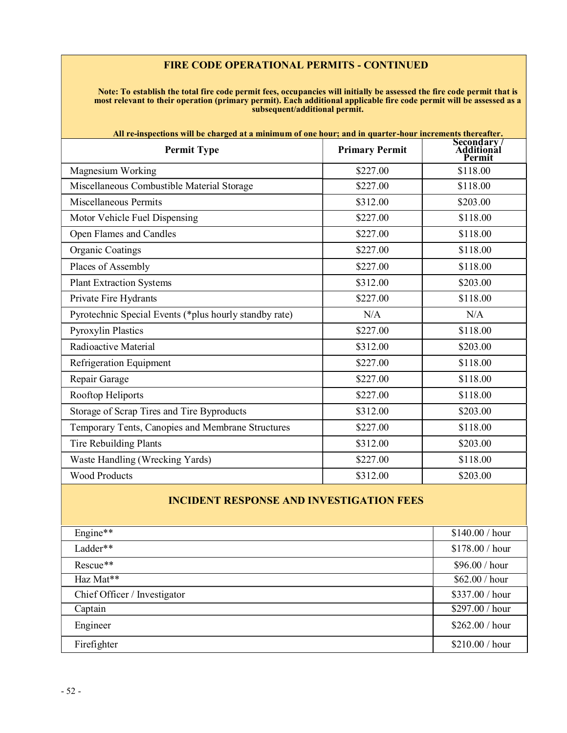### FIRE CODE OPERATIONAL PERMITS - CONTINUED

Note: To establish the total fire code permit fees, occupancies will initially be assessed the fire code permit that is most relevant to their operation (primary permit). Each additional applicable fire code permit will be assessed as a subsequent/additional permit.

| All re-inspections will be charged at a minimum of one hour; and in quarter-hour increments thereafter. |                       |                                                 |  |
|---------------------------------------------------------------------------------------------------------|-----------------------|-------------------------------------------------|--|
| <b>Permit Type</b>                                                                                      | <b>Primary Permit</b> | <b>Secondary</b><br><b>Additional</b><br>Permit |  |
| Magnesium Working                                                                                       | \$227.00              | \$118.00                                        |  |
| Miscellaneous Combustible Material Storage                                                              | \$227.00              | \$118.00                                        |  |
| <b>Miscellaneous Permits</b>                                                                            | \$312.00              | \$203.00                                        |  |
| Motor Vehicle Fuel Dispensing                                                                           | \$227.00              | \$118.00                                        |  |
| Open Flames and Candles                                                                                 | \$227.00              | \$118.00                                        |  |
| <b>Organic Coatings</b>                                                                                 | \$227.00              | \$118.00                                        |  |
| Places of Assembly                                                                                      | \$227.00              | \$118.00                                        |  |
| <b>Plant Extraction Systems</b>                                                                         | \$312.00              | \$203.00                                        |  |
| Private Fire Hydrants                                                                                   | \$227.00              | \$118.00                                        |  |
| Pyrotechnic Special Events (*plus hourly standby rate)                                                  | N/A                   | N/A                                             |  |
| <b>Pyroxylin Plastics</b>                                                                               | \$227.00              | \$118.00                                        |  |
| Radioactive Material                                                                                    | \$312.00              | \$203.00                                        |  |
| Refrigeration Equipment                                                                                 | \$227.00              | \$118.00                                        |  |
| Repair Garage                                                                                           | \$227.00              | \$118.00                                        |  |
| Rooftop Heliports                                                                                       | \$227.00              | \$118.00                                        |  |
| Storage of Scrap Tires and Tire Byproducts                                                              | \$312.00              | \$203.00                                        |  |
| Temporary Tents, Canopies and Membrane Structures                                                       | \$227.00              | \$118.00                                        |  |
| Tire Rebuilding Plants                                                                                  | \$312.00              | \$203.00                                        |  |
| Waste Handling (Wrecking Yards)                                                                         | \$227.00              | \$118.00                                        |  |
| <b>Wood Products</b>                                                                                    | \$312.00              | \$203.00                                        |  |
|                                                                                                         |                       |                                                 |  |

## INCIDENT RESPONSE AND INVESTIGATION FEES

| Engine**                     | \$140.00 / hour |
|------------------------------|-----------------|
| Ladder**                     | \$178.00 / hour |
| Rescue**                     | \$96.00 / hour  |
| Haz Mat**                    | \$62.00 / hour  |
| Chief Officer / Investigator | \$337.00 / hour |
| Captain                      | \$297.00 / hour |
| Engineer                     | \$262.00 / hour |
| Firefighter                  | \$210.00 / hour |
|                              |                 |